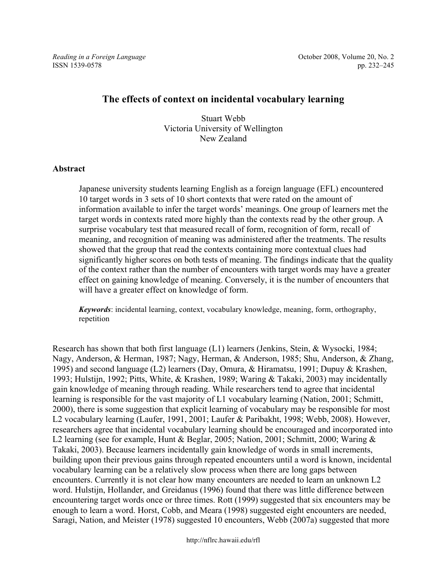# **The effects of context on incidental vocabulary learning**

Stuart Webb Victoria University of Wellington New Zealand

## **Abstract**

Japanese university students learning English as a foreign language (EFL) encountered 10 target words in 3 sets of 10 short contexts that were rated on the amount of information available to infer the target words' meanings. One group of learners met the target words in contexts rated more highly than the contexts read by the other group. A surprise vocabulary test that measured recall of form, recognition of form, recall of meaning, and recognition of meaning was administered after the treatments. The results showed that the group that read the contexts containing more contextual clues had significantly higher scores on both tests of meaning. The findings indicate that the quality of the context rather than the number of encounters with target words may have a greater effect on gaining knowledge of meaning. Conversely, it is the number of encounters that will have a greater effect on knowledge of form.

*Keywords*: incidental learning, context, vocabulary knowledge, meaning, form, orthography, repetition

Research has shown that both first language (L1) learners (Jenkins, Stein, & Wysocki, 1984; Nagy, Anderson, & Herman, 1987; Nagy, Herman, & Anderson, 1985; Shu, Anderson, & Zhang, 1995) and second language (L2) learners (Day, Omura, & Hiramatsu, 1991; Dupuy & Krashen, 1993; Hulstijn, 1992; Pitts, White, & Krashen, 1989; Waring & Takaki, 2003) may incidentally gain knowledge of meaning through reading. While researchers tend to agree that incidental learning is responsible for the vast majority of L1 vocabulary learning (Nation, 2001; Schmitt, 2000), there is some suggestion that explicit learning of vocabulary may be responsible for most L2 vocabulary learning (Laufer, 1991, 2001; Laufer & Paribakht, 1998; Webb, 2008). However, researchers agree that incidental vocabulary learning should be encouraged and incorporated into L2 learning (see for example, Hunt & Beglar, 2005; Nation, 2001; Schmitt, 2000; Waring & Takaki, 2003). Because learners incidentally gain knowledge of words in small increments, building upon their previous gains through repeated encounters until a word is known, incidental vocabulary learning can be a relatively slow process when there are long gaps between encounters. Currently it is not clear how many encounters are needed to learn an unknown L2 word. Hulstijn, Hollander, and Greidanus (1996) found that there was little difference between encountering target words once or three times. Rott (1999) suggested that six encounters may be enough to learn a word. Horst, Cobb, and Meara (1998) suggested eight encounters are needed, Saragi, Nation, and Meister (1978) suggested 10 encounters, Webb (2007a) suggested that more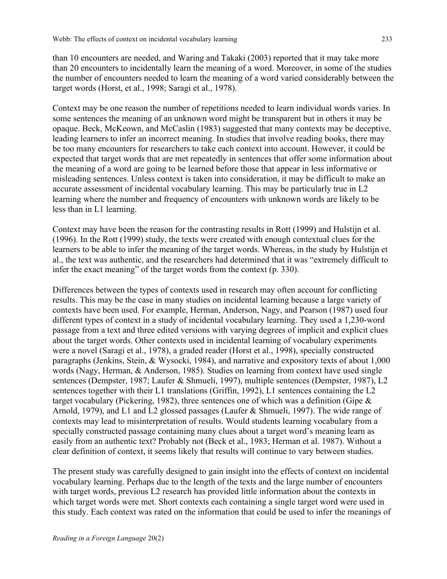than 10 encounters are needed, and Waring and Takaki (2003) reported that it may take more than 20 encounters to incidentally learn the meaning of a word. Moreover, in some of the studies the number of encounters needed to learn the meaning of a word varied considerably between the target words (Horst, et al., 1998; Saragi et al., 1978).

Context may be one reason the number of repetitions needed to learn individual words varies. In some sentences the meaning of an unknown word might be transparent but in others it may be opaque. Beck, McKeown, and McCaslin (1983) suggested that many contexts may be deceptive, leading learners to infer an incorrect meaning. In studies that involve reading books, there may be too many encounters for researchers to take each context into account. However, it could be expected that target words that are met repeatedly in sentences that offer some information about the meaning of a word are going to be learned before those that appear in less informative or misleading sentences. Unless context is taken into consideration, it may be difficult to make an accurate assessment of incidental vocabulary learning. This may be particularly true in L2 learning where the number and frequency of encounters with unknown words are likely to be less than in L1 learning.

Context may have been the reason for the contrasting results in Rott (1999) and Hulstijn et al. (1996). In the Rott (1999) study, the texts were created with enough contextual clues for the learners to be able to infer the meaning of the target words. Whereas, in the study by Hulstijn et al., the text was authentic, and the researchers had determined that it was "extremely difficult to infer the exact meaning" of the target words from the context (p. 330).

Differences between the types of contexts used in research may often account for conflicting results. This may be the case in many studies on incidental learning because a large variety of contexts have been used. For example, Herman, Anderson, Nagy, and Pearson (1987) used four different types of context in a study of incidental vocabulary learning. They used a 1,230-word passage from a text and three edited versions with varying degrees of implicit and explicit clues about the target words. Other contexts used in incidental learning of vocabulary experiments were a novel (Saragi et al., 1978), a graded reader (Horst et al., 1998), specially constructed paragraphs (Jenkins, Stein, & Wysocki, 1984), and narrative and expository texts of about 1,000 words (Nagy, Herman, & Anderson, 1985). Studies on learning from context have used single sentences (Dempster, 1987; Laufer & Shmueli, 1997), multiple sentences (Dempster, 1987), L2 sentences together with their L1 translations (Griffin, 1992), L1 sentences containing the L2 target vocabulary (Pickering, 1982), three sentences one of which was a definition (Gipe & Arnold, 1979), and L1 and L2 glossed passages (Laufer & Shmueli, 1997). The wide range of contexts may lead to misinterpretation of results. Would students learning vocabulary from a specially constructed passage containing many clues about a target word's meaning learn as easily from an authentic text? Probably not (Beck et al., 1983; Herman et al. 1987). Without a clear definition of context, it seems likely that results will continue to vary between studies.

The present study was carefully designed to gain insight into the effects of context on incidental vocabulary learning. Perhaps due to the length of the texts and the large number of encounters with target words, previous L2 research has provided little information about the contexts in which target words were met. Short contexts each containing a single target word were used in this study. Each context was rated on the information that could be used to infer the meanings of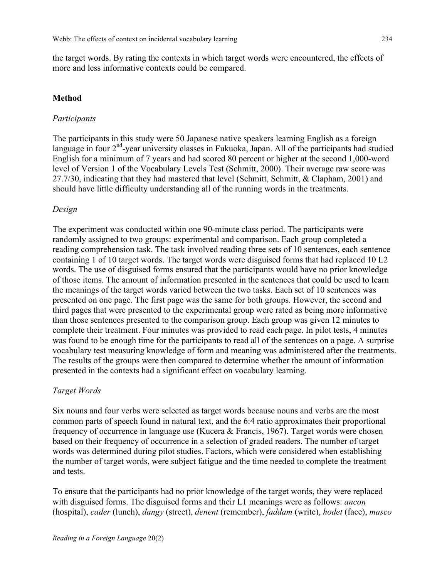the target words. By rating the contexts in which target words were encountered, the effects of more and less informative contexts could be compared.

## **Method**

#### *Participants*

The participants in this study were 50 Japanese native speakers learning English as a foreign language in four 2<sup>nd</sup>-year university classes in Fukuoka, Japan. All of the participants had studied English for a minimum of 7 years and had scored 80 percent or higher at the second 1,000-word level of Version 1 of the Vocabulary Levels Test (Schmitt, 2000). Their average raw score was 27.7/30, indicating that they had mastered that level (Schmitt, Schmitt, & Clapham, 2001) and should have little difficulty understanding all of the running words in the treatments.

## *Design*

The experiment was conducted within one 90-minute class period. The participants were randomly assigned to two groups: experimental and comparison. Each group completed a reading comprehension task. The task involved reading three sets of 10 sentences, each sentence containing 1 of 10 target words. The target words were disguised forms that had replaced 10 L2 words. The use of disguised forms ensured that the participants would have no prior knowledge of those items. The amount of information presented in the sentences that could be used to learn the meanings of the target words varied between the two tasks. Each set of 10 sentences was presented on one page. The first page was the same for both groups. However, the second and third pages that were presented to the experimental group were rated as being more informative than those sentences presented to the comparison group. Each group was given 12 minutes to complete their treatment. Four minutes was provided to read each page. In pilot tests, 4 minutes was found to be enough time for the participants to read all of the sentences on a page. A surprise vocabulary test measuring knowledge of form and meaning was administered after the treatments. The results of the groups were then compared to determine whether the amount of information presented in the contexts had a significant effect on vocabulary learning.

### *Target Words*

Six nouns and four verbs were selected as target words because nouns and verbs are the most common parts of speech found in natural text, and the 6:4 ratio approximates their proportional frequency of occurrence in language use (Kucera & Francis, 1967). Target words were chosen based on their frequency of occurrence in a selection of graded readers. The number of target words was determined during pilot studies. Factors, which were considered when establishing the number of target words, were subject fatigue and the time needed to complete the treatment and tests.

To ensure that the participants had no prior knowledge of the target words, they were replaced with disguised forms. The disguised forms and their L1 meanings were as follows: *ancon* (hospital), *cader* (lunch), *dangy* (street), *denent* (remember), *faddam* (write), *hodet* (face), *masco*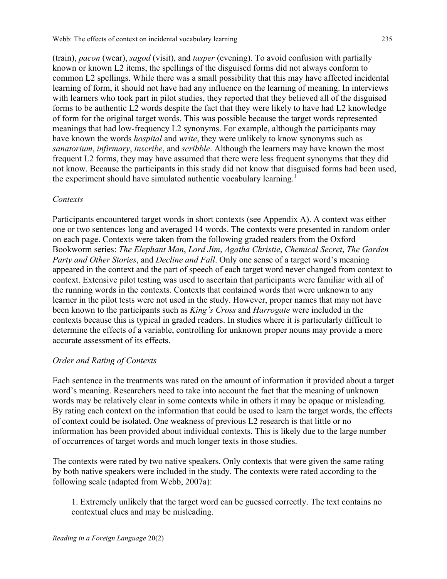Webb: The effects of context on incidental vocabulary learning 235

(train), *pacon* (wear), *sagod* (visit), and *tasper* (evening). To avoid confusion with partially known or known L2 items, the spellings of the disguised forms did not always conform to common L2 spellings. While there was a small possibility that this may have affected incidental learning of form, it should not have had any influence on the learning of meaning. In interviews with learners who took part in pilot studies, they reported that they believed all of the disguised forms to be authentic L2 words despite the fact that they were likely to have had L2 knowledge of form for the original target words. This was possible because the target words represented meanings that had low-frequency L2 synonyms. For example, although the participants may have known the words *hospital* and *write*, they were unlikely to know synonyms such as *sanatorium*, *infirmary*, *inscribe*, and *scribble*. Although the learners may have known the most frequent L2 forms, they may have assumed that there were less frequent synonyms that they did not know. Because the participants in this study did not know that disguised forms had been used, the experiment should have simulated authentic vocabulary learning.<sup>1</sup>

## *Contexts*

Participants encountered target words in short contexts (see Appendix A). A context was either one or two sentences long and averaged 14 words. The contexts were presented in random order on each page. Contexts were taken from the following graded readers from the Oxford Bookworm series: *The Elephant Man*, *Lord Jim*, *Agatha Christie*, *Chemical Secret*, *The Garden Party and Other Stories*, and *Decline and Fall*. Only one sense of a target word's meaning appeared in the context and the part of speech of each target word never changed from context to context. Extensive pilot testing was used to ascertain that participants were familiar with all of the running words in the contexts. Contexts that contained words that were unknown to any learner in the pilot tests were not used in the study. However, proper names that may not have been known to the participants such as *King's Cross* and *Harrogate* were included in the contexts because this is typical in graded readers. In studies where it is particularly difficult to determine the effects of a variable, controlling for unknown proper nouns may provide a more accurate assessment of its effects.

# *Order and Rating of Contexts*

Each sentence in the treatments was rated on the amount of information it provided about a target word's meaning. Researchers need to take into account the fact that the meaning of unknown words may be relatively clear in some contexts while in others it may be opaque or misleading. By rating each context on the information that could be used to learn the target words, the effects of context could be isolated. One weakness of previous L2 research is that little or no information has been provided about individual contexts. This is likely due to the large number of occurrences of target words and much longer texts in those studies.

The contexts were rated by two native speakers. Only contexts that were given the same rating by both native speakers were included in the study. The contexts were rated according to the following scale (adapted from Webb, 2007a):

1. Extremely unlikely that the target word can be guessed correctly. The text contains no contextual clues and may be misleading.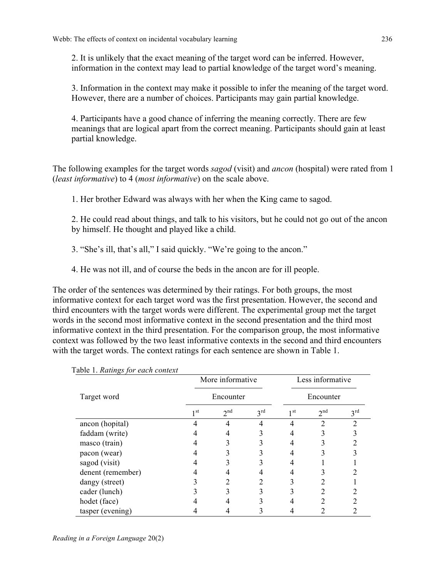2. It is unlikely that the exact meaning of the target word can be inferred. However, information in the context may lead to partial knowledge of the target word's meaning.

3. Information in the context may make it possible to infer the meaning of the target word. However, there are a number of choices. Participants may gain partial knowledge.

4. Participants have a good chance of inferring the meaning correctly. There are few meanings that are logical apart from the correct meaning. Participants should gain at least partial knowledge.

The following examples for the target words *sagod* (visit) and *ancon* (hospital) were rated from 1 (*least informative*) to 4 (*most informative*) on the scale above.

1. Her brother Edward was always with her when the King came to sagod.

2. He could read about things, and talk to his visitors, but he could not go out of the ancon by himself. He thought and played like a child.

3. "She's ill, that's all," I said quickly. "We're going to the ancon."

4. He was not ill, and of course the beds in the ancon are for ill people.

The order of the sentences was determined by their ratings. For both groups, the most informative context for each target word was the first presentation. However, the second and third encounters with the target words were different. The experimental group met the target words in the second most informative context in the second presentation and the third most informative context in the third presentation. For the comparison group, the most informative context was followed by the two least informative contexts in the second and third encounters with the target words. The context ratings for each sentence are shown in Table 1.

| <i>aois i: namego jo: casil</i> com | More informative<br>Encounter |                 |                 | Less informative<br>Encounter |                 |                 |
|-------------------------------------|-------------------------------|-----------------|-----------------|-------------------------------|-----------------|-----------------|
| Target word                         |                               |                 |                 |                               |                 |                 |
|                                     | 1 <sub>st</sub>               | 2 <sup>nd</sup> | $3^{\text{rd}}$ | 1 <sub>st</sub>               | 2 <sup>nd</sup> | $3^{\text{rd}}$ |
| ancon (hopital)                     |                               | 4               | 4               | 4                             | າ               | າ               |
| faddam (write)                      |                               | 4               | 3               |                               |                 |                 |
| masco (train)                       |                               |                 |                 |                               |                 |                 |
| pacon (wear)                        |                               |                 |                 |                               |                 |                 |
| sagod (visit)                       |                               |                 |                 |                               |                 |                 |
| denent (remember)                   | 4                             |                 |                 |                               |                 |                 |
| dangy (street)                      |                               |                 |                 |                               |                 |                 |
| cader (lunch)                       |                               |                 |                 |                               |                 |                 |
| hodet (face)                        |                               |                 |                 |                               |                 |                 |
| tasper (evening)                    |                               |                 |                 |                               |                 |                 |

Table 1. *Ratings for each context*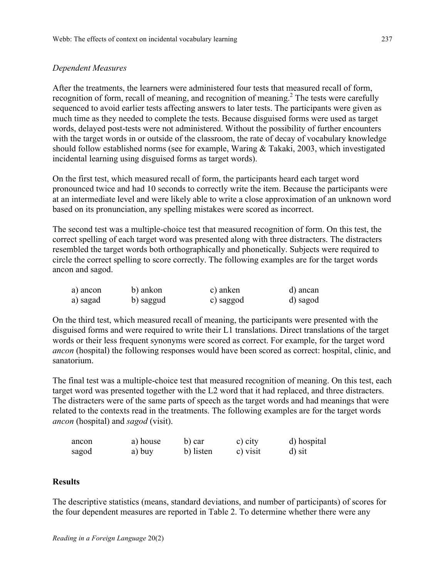## *Dependent Measures*

After the treatments, the learners were administered four tests that measured recall of form, recognition of form, recall of meaning, and recognition of meaning.<sup>2</sup> The tests were carefully sequenced to avoid earlier tests affecting answers to later tests. The participants were given as much time as they needed to complete the tests. Because disguised forms were used as target words, delayed post-tests were not administered. Without the possibility of further encounters with the target words in or outside of the classroom, the rate of decay of vocabulary knowledge should follow established norms (see for example, Waring & Takaki, 2003, which investigated incidental learning using disguised forms as target words).

On the first test, which measured recall of form, the participants heard each target word pronounced twice and had 10 seconds to correctly write the item. Because the participants were at an intermediate level and were likely able to write a close approximation of an unknown word based on its pronunciation, any spelling mistakes were scored as incorrect.

The second test was a multiple-choice test that measured recognition of form. On this test, the correct spelling of each target word was presented along with three distracters. The distracters resembled the target words both orthographically and phonetically. Subjects were required to circle the correct spelling to score correctly. The following examples are for the target words ancon and sagod.

| a) ancon | b) ankon  | c) anken  | d) ancan |
|----------|-----------|-----------|----------|
| a) sagad | b) saggud | c) saggod | d) sagod |

On the third test, which measured recall of meaning, the participants were presented with the disguised forms and were required to write their L1 translations. Direct translations of the target words or their less frequent synonyms were scored as correct. For example, for the target word *ancon* (hospital) the following responses would have been scored as correct: hospital, clinic, and sanatorium.

The final test was a multiple-choice test that measured recognition of meaning. On this test, each target word was presented together with the L2 word that it had replaced, and three distracters. The distracters were of the same parts of speech as the target words and had meanings that were related to the contexts read in the treatments. The following examples are for the target words *ancon* (hospital) and *sagod* (visit).

| ancon | a) house | b) car    | c) city  | d) hospital |
|-------|----------|-----------|----------|-------------|
| sagod | a) buy   | b) listen | c) visit | d) sit      |

## **Results**

The descriptive statistics (means, standard deviations, and number of participants) of scores for the four dependent measures are reported in Table 2. To determine whether there were any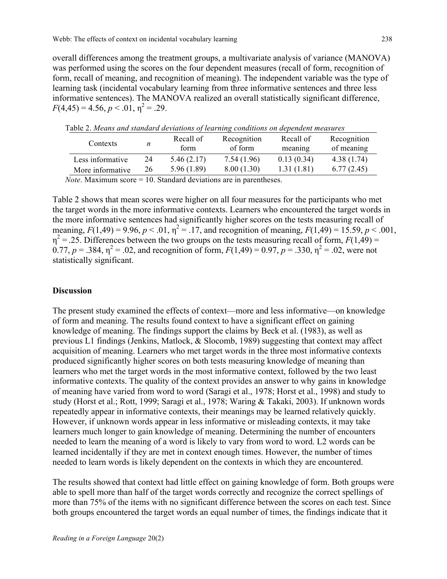overall differences among the treatment groups, a multivariate analysis of variance (MANOVA) was performed using the scores on the four dependent measures (recall of form, recognition of form, recall of meaning, and recognition of meaning). The independent variable was the type of learning task (incidental vocabulary learning from three informative sentences and three less informative sentences). The MANOVA realized an overall statistically significant difference,  $F(4,45) = 4.56, p < .01, \eta^2 = .29.$ 

| Contexts         | n  | Recall of<br>form | Recognition<br>of form | Recall of<br>meaning | Recognition<br>of meaning |
|------------------|----|-------------------|------------------------|----------------------|---------------------------|
| Less informative | 24 | 5.46(2.17)        | 7.54 (1.96)            | 0.13(0.34)           | 4.38 (1.74)               |
| More informative | 26 | 5.96 (1.89)       | 8.00(1.30)             | 1.31(1.81)           | 6.77(2.45)                |
|                  |    |                   |                        |                      |                           |

Table 2. *Means and standard deviations of learning conditions on dependent measures*

*Note*. Maximum score = 10. Standard deviations are in parentheses.

Table 2 shows that mean scores were higher on all four measures for the participants who met the target words in the more informative contexts. Learners who encountered the target words in the more informative sentences had significantly higher scores on the tests measuring recall of meaning,  $F(1,49) = 9.96$ ,  $p < .01$ ,  $\eta^2 = .17$ , and recognition of meaning,  $F(1,49) = 15.59$ ,  $p < .001$ ,  $\eta^2$  = .25. Differences between the two groups on the tests measuring recall of form,  $F(1,49)$  = 0.77,  $p = 0.384$ ,  $\eta^2 = 0.02$ , and recognition of form,  $F(1,49) = 0.97$ ,  $p = 0.330$ ,  $\eta^2 = 0.02$ , were not statistically significant.

#### **Discussion**

The present study examined the effects of context—more and less informative—on knowledge of form and meaning. The results found context to have a significant effect on gaining knowledge of meaning. The findings support the claims by Beck et al. (1983), as well as previous L1 findings (Jenkins, Matlock, & Slocomb, 1989) suggesting that context may affect acquisition of meaning. Learners who met target words in the three most informative contexts produced significantly higher scores on both tests measuring knowledge of meaning than learners who met the target words in the most informative context, followed by the two least informative contexts. The quality of the context provides an answer to why gains in knowledge of meaning have varied from word to word (Saragi et al., 1978; Horst et al., 1998) and study to study (Horst et al.; Rott, 1999; Saragi et al., 1978; Waring & Takaki, 2003). If unknown words repeatedly appear in informative contexts, their meanings may be learned relatively quickly. However, if unknown words appear in less informative or misleading contexts, it may take learners much longer to gain knowledge of meaning. Determining the number of encounters needed to learn the meaning of a word is likely to vary from word to word. L2 words can be learned incidentally if they are met in context enough times. However, the number of times needed to learn words is likely dependent on the contexts in which they are encountered.

The results showed that context had little effect on gaining knowledge of form. Both groups were able to spell more than half of the target words correctly and recognize the correct spellings of more than 75% of the items with no significant difference between the scores on each test. Since both groups encountered the target words an equal number of times, the findings indicate that it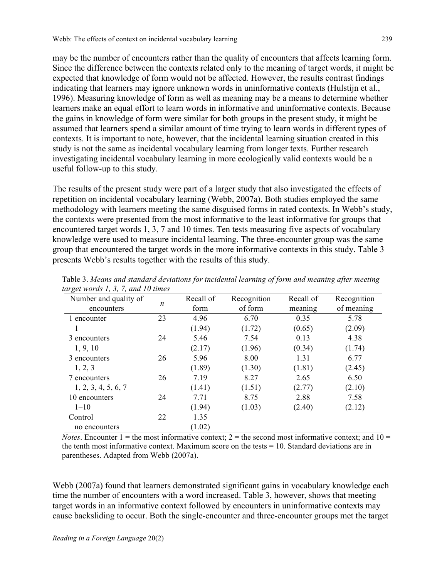may be the number of encounters rather than the quality of encounters that affects learning form. Since the difference between the contexts related only to the meaning of target words, it might be expected that knowledge of form would not be affected. However, the results contrast findings indicating that learners may ignore unknown words in uninformative contexts (Hulstijn et al., 1996). Measuring knowledge of form as well as meaning may be a means to determine whether learners make an equal effort to learn words in informative and uninformative contexts. Because the gains in knowledge of form were similar for both groups in the present study, it might be assumed that learners spend a similar amount of time trying to learn words in different types of contexts. It is important to note, however, that the incidental learning situation created in this study is not the same as incidental vocabulary learning from longer texts. Further research investigating incidental vocabulary learning in more ecologically valid contexts would be a useful follow-up to this study.

The results of the present study were part of a larger study that also investigated the effects of repetition on incidental vocabulary learning (Webb, 2007a). Both studies employed the same methodology with learners meeting the same disguised forms in rated contexts. In Webb's study, the contexts were presented from the most informative to the least informative for groups that encountered target words 1, 3, 7 and 10 times. Ten tests measuring five aspects of vocabulary knowledge were used to measure incidental learning. The three-encounter group was the same group that encountered the target words in the more informative contexts in this study. Table 3 presents Webb's results together with the results of this study.

| $\sim$<br>Number and quality of<br>encounters | n  | Recall of<br>form | Recognition<br>of form | Recall of<br>meaning | Recognition<br>of meaning |
|-----------------------------------------------|----|-------------------|------------------------|----------------------|---------------------------|
| 1 encounter                                   | 23 | 4.96              | 6.70                   | 0.35                 | 5.78                      |
|                                               |    | (1.94)            | (1.72)                 | (0.65)               | (2.09)                    |
| 3 encounters                                  | 24 | 5.46              | 7.54                   | 0.13                 | 4.38                      |
| 1, 9, 10                                      |    | (2.17)            | (1.96)                 | (0.34)               | (1.74)                    |
| 3 encounters                                  | 26 | 5.96              | 8.00                   | 1.31                 | 6.77                      |
| 1, 2, 3                                       |    | (1.89)            | (1.30)                 | (1.81)               | (2.45)                    |
| 7 encounters                                  | 26 | 7.19              | 8.27                   | 2.65                 | 6.50                      |
| 1, 2, 3, 4, 5, 6, 7                           |    | (1.41)            | (1.51)                 | (2.77)               | (2.10)                    |
| 10 encounters                                 | 24 | 7.71              | 8.75                   | 2.88                 | 7.58                      |
| $1 - 10$                                      |    | (1.94)            | (1.03)                 | (2.40)               | (2.12)                    |
| Control                                       | 22 | 1.35              |                        |                      |                           |
| no encounters                                 |    | (1.02)            |                        |                      |                           |

Table 3. *Means and standard deviations for incidental learning of form and meaning after meeting target words 1, 3, 7, and 10 times*

*Notes*. Encounter  $1 =$  the most informative context;  $2 =$  the second most informative context; and  $10 =$ the tenth most informative context. Maximum score on the tests = 10. Standard deviations are in parentheses. Adapted from Webb (2007a).

Webb (2007a) found that learners demonstrated significant gains in vocabulary knowledge each time the number of encounters with a word increased. Table 3, however, shows that meeting target words in an informative context followed by encounters in uninformative contexts may cause backsliding to occur. Both the single-encounter and three-encounter groups met the target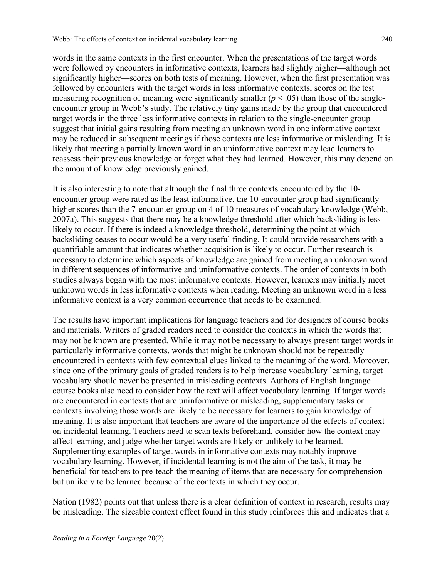words in the same contexts in the first encounter. When the presentations of the target words were followed by encounters in informative contexts, learners had slightly higher—although not significantly higher—scores on both tests of meaning. However, when the first presentation was followed by encounters with the target words in less informative contexts, scores on the test measuring recognition of meaning were significantly smaller  $(p < .05)$  than those of the singleencounter group in Webb's study. The relatively tiny gains made by the group that encountered target words in the three less informative contexts in relation to the single-encounter group suggest that initial gains resulting from meeting an unknown word in one informative context may be reduced in subsequent meetings if those contexts are less informative or misleading. It is likely that meeting a partially known word in an uninformative context may lead learners to reassess their previous knowledge or forget what they had learned. However, this may depend on the amount of knowledge previously gained.

It is also interesting to note that although the final three contexts encountered by the 10 encounter group were rated as the least informative, the 10-encounter group had significantly higher scores than the 7-encounter group on 4 of 10 measures of vocabulary knowledge (Webb, 2007a). This suggests that there may be a knowledge threshold after which backsliding is less likely to occur. If there is indeed a knowledge threshold, determining the point at which backsliding ceases to occur would be a very useful finding. It could provide researchers with a quantifiable amount that indicates whether acquisition is likely to occur. Further research is necessary to determine which aspects of knowledge are gained from meeting an unknown word in different sequences of informative and uninformative contexts. The order of contexts in both studies always began with the most informative contexts. However, learners may initially meet unknown words in less informative contexts when reading. Meeting an unknown word in a less informative context is a very common occurrence that needs to be examined.

The results have important implications for language teachers and for designers of course books and materials. Writers of graded readers need to consider the contexts in which the words that may not be known are presented. While it may not be necessary to always present target words in particularly informative contexts, words that might be unknown should not be repeatedly encountered in contexts with few contextual clues linked to the meaning of the word. Moreover, since one of the primary goals of graded readers is to help increase vocabulary learning, target vocabulary should never be presented in misleading contexts. Authors of English language course books also need to consider how the text will affect vocabulary learning. If target words are encountered in contexts that are uninformative or misleading, supplementary tasks or contexts involving those words are likely to be necessary for learners to gain knowledge of meaning. It is also important that teachers are aware of the importance of the effects of context on incidental learning. Teachers need to scan texts beforehand, consider how the context may affect learning, and judge whether target words are likely or unlikely to be learned. Supplementing examples of target words in informative contexts may notably improve vocabulary learning. However, if incidental learning is not the aim of the task, it may be beneficial for teachers to pre-teach the meaning of items that are necessary for comprehension but unlikely to be learned because of the contexts in which they occur.

Nation (1982) points out that unless there is a clear definition of context in research, results may be misleading. The sizeable context effect found in this study reinforces this and indicates that a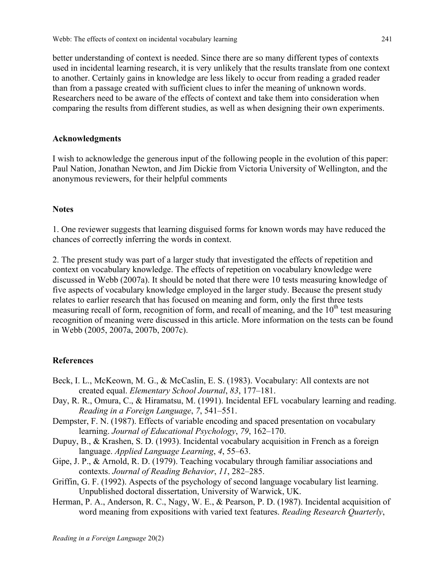better understanding of context is needed. Since there are so many different types of contexts used in incidental learning research, it is very unlikely that the results translate from one context to another. Certainly gains in knowledge are less likely to occur from reading a graded reader than from a passage created with sufficient clues to infer the meaning of unknown words. Researchers need to be aware of the effects of context and take them into consideration when comparing the results from different studies, as well as when designing their own experiments.

## **Acknowledgments**

I wish to acknowledge the generous input of the following people in the evolution of this paper: Paul Nation, Jonathan Newton, and Jim Dickie from Victoria University of Wellington, and the anonymous reviewers, for their helpful comments

## **Notes**

1. One reviewer suggests that learning disguised forms for known words may have reduced the chances of correctly inferring the words in context.

2. The present study was part of a larger study that investigated the effects of repetition and context on vocabulary knowledge. The effects of repetition on vocabulary knowledge were discussed in Webb (2007a). It should be noted that there were 10 tests measuring knowledge of five aspects of vocabulary knowledge employed in the larger study. Because the present study relates to earlier research that has focused on meaning and form, only the first three tests measuring recall of form, recognition of form, and recall of meaning, and the  $10<sup>th</sup>$  test measuring recognition of meaning were discussed in this article. More information on the tests can be found in Webb (2005, 2007a, 2007b, 2007c).

#### **References**

- Beck, I. L., McKeown, M. G., & McCaslin, E. S. (1983). Vocabulary: All contexts are not created equal. *Elementary School Journal*, *83*, 177–181.
- Day, R. R., Omura, C., & Hiramatsu, M. (1991). Incidental EFL vocabulary learning and reading. *Reading in a Foreign Language*, *7*, 541–551.
- Dempster, F. N. (1987). Effects of variable encoding and spaced presentation on vocabulary learning. *Journal of Educational Psychology*, *79*, 162–170.
- Dupuy, B., & Krashen, S. D. (1993). Incidental vocabulary acquisition in French as a foreign language. *Applied Language Learning*, *4*, 55–63.
- Gipe, J. P., & Arnold, R. D. (1979). Teaching vocabulary through familiar associations and contexts. *Journal of Reading Behavior*, *11*, 282–285.
- Griffin, G. F. (1992). Aspects of the psychology of second language vocabulary list learning. Unpublished doctoral dissertation, University of Warwick, UK.
- Herman, P. A., Anderson, R. C., Nagy, W. E., & Pearson, P. D. (1987). Incidental acquisition of word meaning from expositions with varied text features. *Reading Research Quarterly*,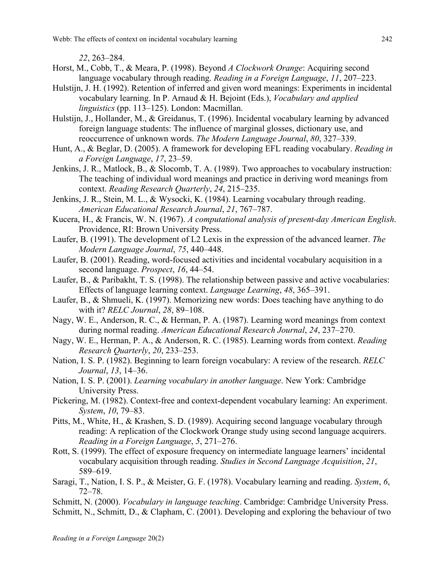Webb: The effects of context on incidental vocabulary learning 242

*22*, 263–284.

- Horst, M., Cobb, T., & Meara, P. (1998). Beyond *A Clockwork Orange*: Acquiring second language vocabulary through reading. *Reading in a Foreign Language*, *11*, 207–223.
- Hulstijn, J. H. (1992). Retention of inferred and given word meanings: Experiments in incidental vocabulary learning. In P. Arnaud & H. Bejoint (Eds.), *Vocabulary and applied linguistics* (pp. 113–125). London: Macmillan.
- Hulstijn, J., Hollander, M., & Greidanus, T. (1996). Incidental vocabulary learning by advanced foreign language students: The influence of marginal glosses, dictionary use, and reoccurrence of unknown words. *The Modern Language Journal*, *80*, 327–339.
- Hunt, A., & Beglar, D. (2005). A framework for developing EFL reading vocabulary. *Reading in a Foreign Language*, *17*, 23–59.
- Jenkins, J. R., Matlock, B., & Slocomb, T. A. (1989). Two approaches to vocabulary instruction: The teaching of individual word meanings and practice in deriving word meanings from context. *Reading Research Quarterly*, *24*, 215–235.
- Jenkins, J. R., Stein, M. L., & Wysocki, K. (1984). Learning vocabulary through reading. *American Educational Research Journal*, *21*, 767–787.
- Kucera, H., & Francis, W. N. (1967). *A computational analysis of present-day American English*. Providence, RI: Brown University Press.
- Laufer, B. (1991). The development of L2 Lexis in the expression of the advanced learner. *The Modern Language Journal*, *75*, 440–448.
- Laufer, B. (2001). Reading, word-focused activities and incidental vocabulary acquisition in a second language. *Prospect*, *16*, 44–54.
- Laufer, B., & Paribakht, T. S. (1998). The relationship between passive and active vocabularies: Effects of language learning context. *Language Learning*, *48*, 365–391.
- Laufer, B., & Shmueli, K. (1997). Memorizing new words: Does teaching have anything to do with it? *RELC Journal*, *28*, 89–108.
- Nagy, W. E., Anderson, R. C., & Herman, P. A. (1987). Learning word meanings from context during normal reading. *American Educational Research Journal*, *24*, 237–270.
- Nagy, W. E., Herman, P. A., & Anderson, R. C. (1985). Learning words from context. *Reading Research Quarterly*, *20*, 233–253.
- Nation, I. S. P. (1982). Beginning to learn foreign vocabulary: A review of the research. *RELC Journal*, *13*, 14–36.
- Nation, I. S. P. (2001). *Learning vocabulary in another language*. New York: Cambridge University Press.
- Pickering, M. (1982). Context-free and context-dependent vocabulary learning: An experiment. *System*, *10*, 79–83.
- Pitts, M., White, H., & Krashen, S. D. (1989). Acquiring second language vocabulary through reading: A replication of the Clockwork Orange study using second language acquirers. *Reading in a Foreign Language*, *5*, 271–276.
- Rott, S. (1999). The effect of exposure frequency on intermediate language learners' incidental vocabulary acquisition through reading. *Studies in Second Language Acquisition*, *21*, 589–619.
- Saragi, T., Nation, I. S. P., & Meister, G. F. (1978). Vocabulary learning and reading. *System*, *6*, 72–78.
- Schmitt, N. (2000). *Vocabulary in language teaching*. Cambridge: Cambridge University Press.
- Schmitt, N., Schmitt, D., & Clapham, C. (2001). Developing and exploring the behaviour of two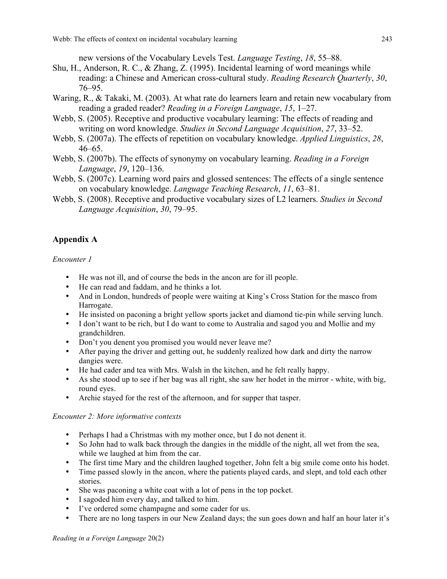new versions of the Vocabulary Levels Test. *Language Testing*, *18*, 55–88.

- Shu, H., Anderson, R. C., & Zhang, Z. (1995). Incidental learning of word meanings while reading: a Chinese and American cross-cultural study. *Reading Research Quarterly*, *30*, 76–95.
- Waring, R., & Takaki, M. (2003). At what rate do learners learn and retain new vocabulary from reading a graded reader? *Reading in a Foreign Language*, *15*, 1–27.
- Webb, S. (2005). Receptive and productive vocabulary learning: The effects of reading and writing on word knowledge. *Studies in Second Language Acquisition*, *27*, 33–52.
- Webb, S. (2007a). The effects of repetition on vocabulary knowledge. *Applied Linguistics*, *28*, 46–65.
- Webb, S. (2007b). The effects of synonymy on vocabulary learning. *Reading in a Foreign Language*, *19*, 120–136.
- Webb, S. (2007c). Learning word pairs and glossed sentences: The effects of a single sentence on vocabulary knowledge. *Language Teaching Research*, *11*, 63–81.
- Webb, S. (2008). Receptive and productive vocabulary sizes of L2 learners. *Studies in Second Language Acquisition*, *30*, 79–95.

# **Appendix A**

*Encounter 1*

- He was not ill, and of course the beds in the ancon are for ill people.
- He can read and faddam, and he thinks a lot.
- And in London, hundreds of people were waiting at King's Cross Station for the masco from Harrogate.
- He insisted on paconing a bright yellow sports jacket and diamond tie-pin while serving lunch.
- I don't want to be rich, but I do want to come to Australia and sagod you and Mollie and my grandchildren.
- Don't you denent you promised you would never leave me?
- After paying the driver and getting out, he suddenly realized how dark and dirty the narrow dangies were.
- He had cader and tea with Mrs. Walsh in the kitchen, and he felt really happy.
- As she stood up to see if her bag was all right, she saw her hodet in the mirror white, with big, round eyes.
- Archie stayed for the rest of the afternoon, and for supper that tasper.

## *Encounter 2: More informative contexts*

- Perhaps I had a Christmas with my mother once, but I do not denent it.
- So John had to walk back through the dangies in the middle of the night, all wet from the sea, while we laughed at him from the car.
- The first time Mary and the children laughed together, John felt a big smile come onto his hodet.
- Time passed slowly in the ancon, where the patients played cards, and slept, and told each other stories.
- She was paconing a white coat with a lot of pens in the top pocket.
- I sagoded him every day, and talked to him.
- I've ordered some champagne and some cader for us.
- There are no long taspers in our New Zealand days; the sun goes down and half an hour later it's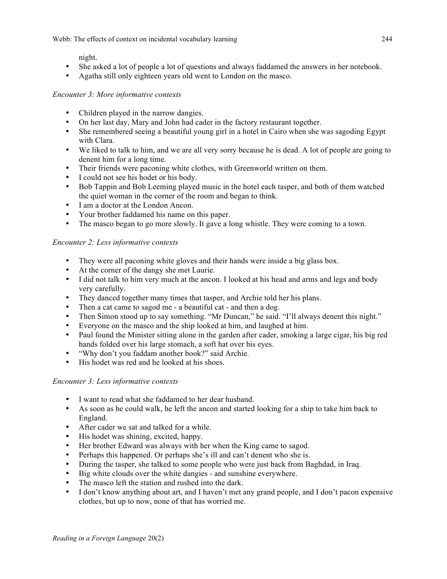Webb: The effects of context on incidental vocabulary learning 244

night.

- She asked a lot of people a lot of questions and always faddamed the answers in her notebook.
- Agatha still only eighteen years old went to London on the masco.

# *Encounter 3: More informative contexts*

- Children played in the narrow dangies.
- On her last day, Mary and John had cader in the factory restaurant together.
- She remembered seeing a beautiful young girl in a hotel in Cairo when she was sagoding Egypt with Clara.
- We liked to talk to him, and we are all very sorry because he is dead. A lot of people are going to denent him for a long time.
- Their friends were paconing white clothes, with Greenworld written on them.
- I could not see his hodet or his body.
- Bob Tappin and Bob Leeming played music in the hotel each tasper, and both of them watched the quiet woman in the corner of the room and began to think.
- I am a doctor at the London Ancon.
- Your brother faddamed his name on this paper.
- The masco began to go more slowly. It gave a long whistle. They were coming to a town.

## *Encounter 2: Less informative contexts*

- They were all paconing white gloves and their hands were inside a big glass box.
- At the corner of the dangy she met Laurie.
- I did not talk to him very much at the ancon. I looked at his head and arms and legs and body very carefully.
- They danced together many times that tasper, and Archie told her his plans.
- Then a cat came to sagod me a beautiful cat and then a dog.
- Then Simon stood up to say something. "Mr Duncan," he said. "I'll always denent this night."
- Everyone on the masco and the ship looked at him, and laughed at him.
- Paul found the Minister sitting alone in the garden after cader, smoking a large cigar, his big red hands folded over his large stomach, a soft hat over his eyes.
- "Why don't you faddam another book?" said Archie.
- His hodet was red and he looked at his shoes.

## *Encounter 3: Less informative contexts*

- I want to read what she faddamed to her dear husband.
- As soon as he could walk, he left the ancon and started looking for a ship to take him back to England.
- After cader we sat and talked for a while.
- His hodet was shining, excited, happy.
- Her brother Edward was always with her when the King came to sagod.
- Perhaps this happened. Or perhaps she's ill and can't denent who she is.
- During the tasper, she talked to some people who were just back from Baghdad, in Iraq.
- Big white clouds over the white dangies and sunshine everywhere.
- The masco left the station and rushed into the dark.
- I don't know anything about art, and I haven't met any grand people, and I don't pacon expensive clothes, but up to now, none of that has worried me.